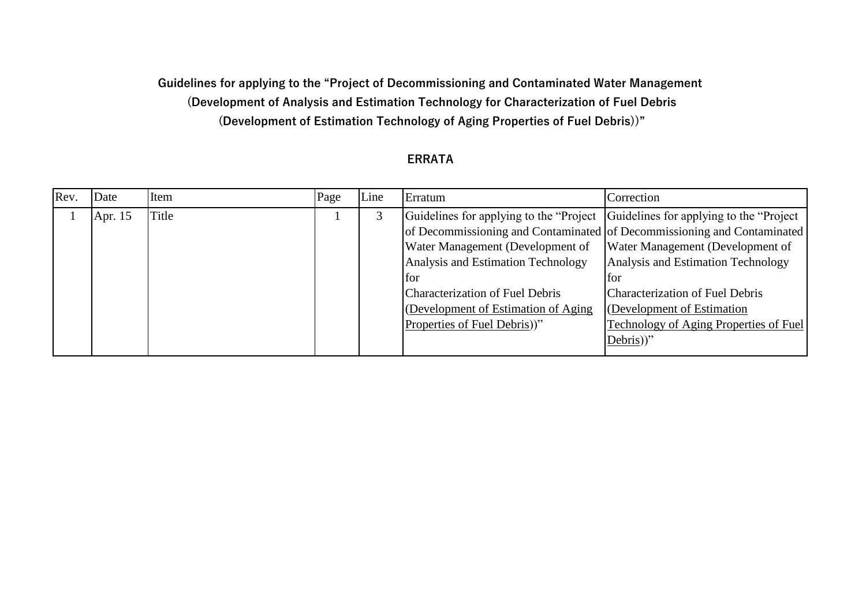## **Guidelines for applying to the "Project of Decommissioning and Contaminated Water Management (Development of Analysis and Estimation Technology for Characterization of Fuel Debris (Development of Estimation Technology of Aging Properties of Fuel Debris))"**

## **ERRATA**

| Rev. | Date    | Item  | Page | Line | Erratum                                                                                                                                                                                                                                                                              | Correction                                                                                                                                                                                                                                                                                      |
|------|---------|-------|------|------|--------------------------------------------------------------------------------------------------------------------------------------------------------------------------------------------------------------------------------------------------------------------------------------|-------------------------------------------------------------------------------------------------------------------------------------------------------------------------------------------------------------------------------------------------------------------------------------------------|
|      | Apr. 15 | Title |      |      | Guidelines for applying to the "Project Guidelines for applying to the "Project"<br>Water Management (Development of<br>Analysis and Estimation Technology<br>for.<br><b>Characterization of Fuel Debris</b><br>(Development of Estimation of Aging)<br>Properties of Fuel Debris))" | of Decommissioning and Contaminated of Decommissioning and Contaminated<br>Water Management (Development of<br>Analysis and Estimation Technology<br>tor<br><b>Characterization of Fuel Debris</b><br>(Development of Estimation)<br><b>Technology of Aging Properties of Fuel</b><br>Debris))" |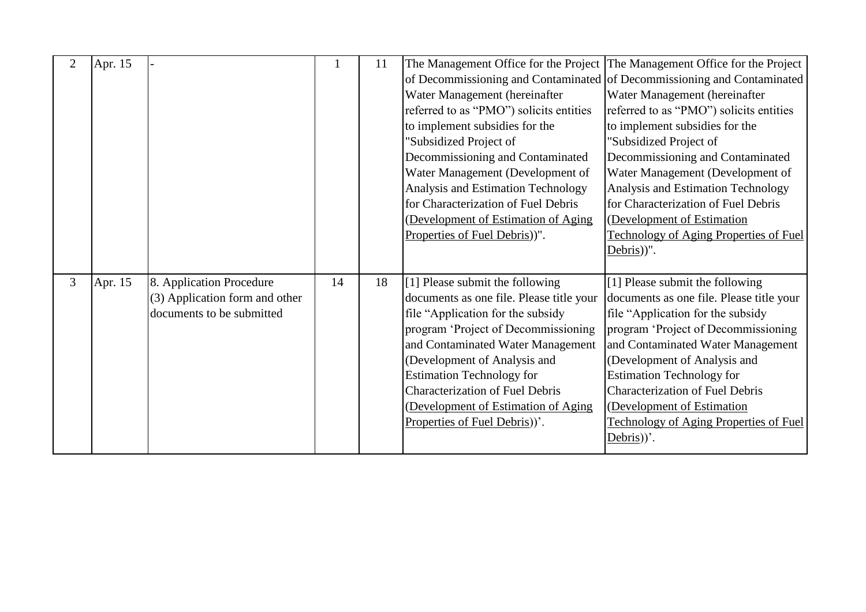| $\overline{2}$ | Apr. 15   |                                                                                         |    | 11 | Water Management (hereinafter<br>referred to as "PMO") solicits entities<br>to implement subsidies for the<br>'Subsidized Project of<br>Decommissioning and Contaminated<br>Water Management (Development of<br><b>Analysis and Estimation Technology</b><br>for Characterization of Fuel Debris<br>(Development of Estimation of Aging<br>Properties of Fuel Debris))".         | The Management Office for the Project The Management Office for the Project<br>of Decommissioning and Contaminated of Decommissioning and Contaminated<br>Water Management (hereinafter<br>referred to as "PMO") solicits entities<br>to implement subsidies for the<br>"Subsidized Project of<br>Decommissioning and Contaminated<br>Water Management (Development of<br>Analysis and Estimation Technology<br>for Characterization of Fuel Debris<br>(Development of Estimation<br><b>Technology of Aging Properties of Fuel</b> |
|----------------|-----------|-----------------------------------------------------------------------------------------|----|----|----------------------------------------------------------------------------------------------------------------------------------------------------------------------------------------------------------------------------------------------------------------------------------------------------------------------------------------------------------------------------------|------------------------------------------------------------------------------------------------------------------------------------------------------------------------------------------------------------------------------------------------------------------------------------------------------------------------------------------------------------------------------------------------------------------------------------------------------------------------------------------------------------------------------------|
| $\overline{3}$ | Apr. $15$ | 8. Application Procedure<br>(3) Application form and other<br>documents to be submitted | 14 | 18 | [1] Please submit the following<br>documents as one file. Please title your<br>file "Application for the subsidy<br>program 'Project of Decommissioning<br>and Contaminated Water Management<br>(Development of Analysis and<br><b>Estimation Technology for</b><br><b>Characterization of Fuel Debris</b><br>(Development of Estimation of Aging<br>Properties of Fuel Debris). | Debris))".<br>[1] Please submit the following<br>documents as one file. Please title your<br>file "Application for the subsidy<br>program 'Project of Decommissioning<br>and Contaminated Water Management<br>(Development of Analysis and<br><b>Estimation Technology for</b><br><b>Characterization of Fuel Debris</b><br>(Development of Estimation<br><b>Technology of Aging Properties of Fuel</b><br>$Debris)$ .                                                                                                             |